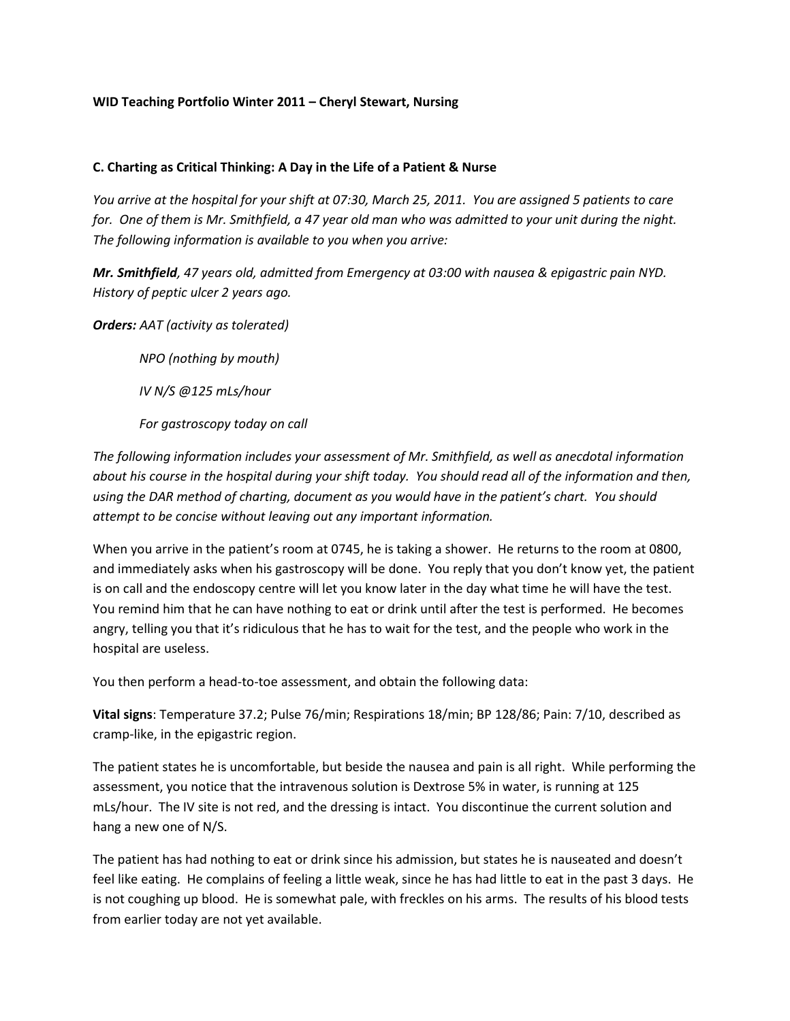## **WID Teaching Portfolio Winter 2011 – Cheryl Stewart, Nursing**

## **C. Charting as Critical Thinking: A Day in the Life of a Patient & Nurse**

*You arrive at the hospital for your shift at 07:30, March 25, 2011. You are assigned 5 patients to care for. One of them is Mr. Smithfield, a 47 year old man who was admitted to your unit during the night. The following information is available to you when you arrive:*

*Mr. Smithfield, 47 years old, admitted from Emergency at 03:00 with nausea & epigastric pain NYD. History of peptic ulcer 2 years ago.*

*Orders: AAT (activity as tolerated)*

*NPO (nothing by mouth)*

*IV N/S @125 mLs/hour*

*For gastroscopy today on call*

*The following information includes your assessment of Mr. Smithfield, as well as anecdotal information about his course in the hospital during your shift today. You should read all of the information and then, using the DAR method of charting, document as you would have in the patient's chart. You should attempt to be concise without leaving out any important information.* 

When you arrive in the patient's room at 0745, he is taking a shower. He returns to the room at 0800, and immediately asks when his gastroscopy will be done. You reply that you don't know yet, the patient is on call and the endoscopy centre will let you know later in the day what time he will have the test. You remind him that he can have nothing to eat or drink until after the test is performed. He becomes angry, telling you that it's ridiculous that he has to wait for the test, and the people who work in the hospital are useless.

You then perform a head-to-toe assessment, and obtain the following data:

**Vital signs**: Temperature 37.2; Pulse 76/min; Respirations 18/min; BP 128/86; Pain: 7/10, described as cramp-like, in the epigastric region.

The patient states he is uncomfortable, but beside the nausea and pain is all right. While performing the assessment, you notice that the intravenous solution is Dextrose 5% in water, is running at 125 mLs/hour. The IV site is not red, and the dressing is intact. You discontinue the current solution and hang a new one of N/S.

The patient has had nothing to eat or drink since his admission, but states he is nauseated and doesn't feel like eating. He complains of feeling a little weak, since he has had little to eat in the past 3 days. He is not coughing up blood. He is somewhat pale, with freckles on his arms. The results of his blood tests from earlier today are not yet available.